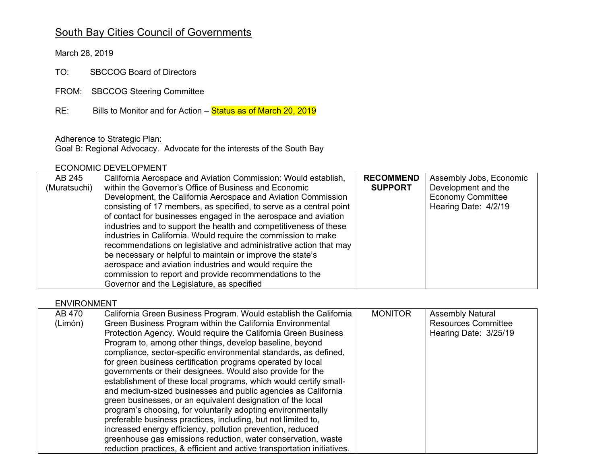# South Bay Cities Council of Governments

March 28, 2019

TO: SBCCOG Board of Directors

FROM: SBCCOG Steering Committee

RE: Bills to Monitor and for Action – Status as of March 20, 2019

Adherence to Strategic Plan:

Goal B: Regional Advocacy. Advocate for the interests of the South Bay

#### ECONOMIC DEVELOPMENT

| AB 245       | California Aerospace and Aviation Commission: Would establish,      | <b>RECOMMEND</b> | Assembly Jobs, Economic  |
|--------------|---------------------------------------------------------------------|------------------|--------------------------|
| (Muratsuchi) | within the Governor's Office of Business and Economic               | <b>SUPPORT</b>   | Development and the      |
|              | Development, the California Aerospace and Aviation Commission       |                  | <b>Economy Committee</b> |
|              | consisting of 17 members, as specified, to serve as a central point |                  | Hearing Date: 4/2/19     |
|              | of contact for businesses engaged in the aerospace and aviation     |                  |                          |
|              | industries and to support the health and competitiveness of these   |                  |                          |
|              | industries in California. Would require the commission to make      |                  |                          |
|              | recommendations on legislative and administrative action that may   |                  |                          |
|              | be necessary or helpful to maintain or improve the state's          |                  |                          |
|              | aerospace and aviation industries and would require the             |                  |                          |
|              | commission to report and provide recommendations to the             |                  |                          |
|              | Governor and the Legislature, as specified                          |                  |                          |

ENVIRONMENT

| AB 470<br>(Limón) | California Green Business Program. Would establish the California<br>Green Business Program within the California Environmental | <b>MONITOR</b> | <b>Assembly Natural</b><br><b>Resources Committee</b> |
|-------------------|---------------------------------------------------------------------------------------------------------------------------------|----------------|-------------------------------------------------------|
|                   | Protection Agency. Would require the California Green Business                                                                  |                | Hearing Date: 3/25/19                                 |
|                   | Program to, among other things, develop baseline, beyond                                                                        |                |                                                       |
|                   | compliance, sector-specific environmental standards, as defined,                                                                |                |                                                       |
|                   | for green business certification programs operated by local                                                                     |                |                                                       |
|                   | governments or their designees. Would also provide for the                                                                      |                |                                                       |
|                   | establishment of these local programs, which would certify small-                                                               |                |                                                       |
|                   | and medium-sized businesses and public agencies as California                                                                   |                |                                                       |
|                   | green businesses, or an equivalent designation of the local                                                                     |                |                                                       |
|                   | program's choosing, for voluntarily adopting environmentally                                                                    |                |                                                       |
|                   | preferable business practices, including, but not limited to,                                                                   |                |                                                       |
|                   | increased energy efficiency, pollution prevention, reduced                                                                      |                |                                                       |
|                   | greenhouse gas emissions reduction, water conservation, waste                                                                   |                |                                                       |
|                   | reduction practices, & efficient and active transportation initiatives.                                                         |                |                                                       |
|                   |                                                                                                                                 |                |                                                       |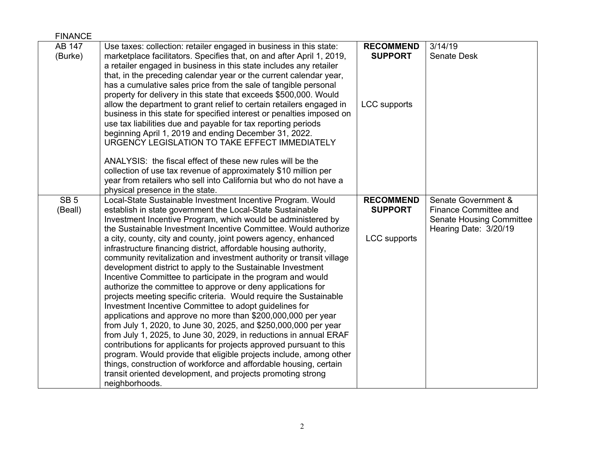| <b>FINANCE</b>             |                                                                                                                                                                                                                                                                                                                                                                                                                                                                                                                                                                                                                                                                                                                                                                                                                                                                                                                                                                |                                    |                                                                                 |
|----------------------------|----------------------------------------------------------------------------------------------------------------------------------------------------------------------------------------------------------------------------------------------------------------------------------------------------------------------------------------------------------------------------------------------------------------------------------------------------------------------------------------------------------------------------------------------------------------------------------------------------------------------------------------------------------------------------------------------------------------------------------------------------------------------------------------------------------------------------------------------------------------------------------------------------------------------------------------------------------------|------------------------------------|---------------------------------------------------------------------------------|
| AB 147<br>(Burke)          | Use taxes: collection: retailer engaged in business in this state:<br>marketplace facilitators. Specifies that, on and after April 1, 2019,<br>a retailer engaged in business in this state includes any retailer<br>that, in the preceding calendar year or the current calendar year,<br>has a cumulative sales price from the sale of tangible personal<br>property for delivery in this state that exceeds \$500,000. Would                                                                                                                                                                                                                                                                                                                                                                                                                                                                                                                                | <b>RECOMMEND</b><br><b>SUPPORT</b> | 3/14/19<br>Senate Desk                                                          |
|                            | allow the department to grant relief to certain retailers engaged in<br>business in this state for specified interest or penalties imposed on<br>use tax liabilities due and payable for tax reporting periods<br>beginning April 1, 2019 and ending December 31, 2022.<br>URGENCY LEGISLATION TO TAKE EFFECT IMMEDIATELY                                                                                                                                                                                                                                                                                                                                                                                                                                                                                                                                                                                                                                      | <b>LCC</b> supports                |                                                                                 |
|                            | ANALYSIS: the fiscal effect of these new rules will be the                                                                                                                                                                                                                                                                                                                                                                                                                                                                                                                                                                                                                                                                                                                                                                                                                                                                                                     |                                    |                                                                                 |
|                            | collection of use tax revenue of approximately \$10 million per<br>year from retailers who sell into California but who do not have a                                                                                                                                                                                                                                                                                                                                                                                                                                                                                                                                                                                                                                                                                                                                                                                                                          |                                    |                                                                                 |
|                            | physical presence in the state.                                                                                                                                                                                                                                                                                                                                                                                                                                                                                                                                                                                                                                                                                                                                                                                                                                                                                                                                |                                    |                                                                                 |
| SB <sub>5</sub><br>(Beall) | Local-State Sustainable Investment Incentive Program. Would<br>establish in state government the Local-State Sustainable<br>Investment Incentive Program, which would be administered by                                                                                                                                                                                                                                                                                                                                                                                                                                                                                                                                                                                                                                                                                                                                                                       | <b>RECOMMEND</b><br><b>SUPPORT</b> | Senate Government &<br>Finance Committee and<br><b>Senate Housing Committee</b> |
|                            | the Sustainable Investment Incentive Committee. Would authorize<br>a city, county, city and county, joint powers agency, enhanced<br>infrastructure financing district, affordable housing authority,<br>community revitalization and investment authority or transit village<br>development district to apply to the Sustainable Investment<br>Incentive Committee to participate in the program and would<br>authorize the committee to approve or deny applications for<br>projects meeting specific criteria. Would require the Sustainable<br>Investment Incentive Committee to adopt guidelines for<br>applications and approve no more than \$200,000,000 per year<br>from July 1, 2020, to June 30, 2025, and \$250,000,000 per year<br>from July 1, 2025, to June 30, 2029, in reductions in annual ERAF<br>contributions for applicants for projects approved pursuant to this<br>program. Would provide that eligible projects include, among other | <b>LCC</b> supports                | Hearing Date: 3/20/19                                                           |
|                            | things, construction of workforce and affordable housing, certain<br>transit oriented development, and projects promoting strong<br>neighborhoods.                                                                                                                                                                                                                                                                                                                                                                                                                                                                                                                                                                                                                                                                                                                                                                                                             |                                    |                                                                                 |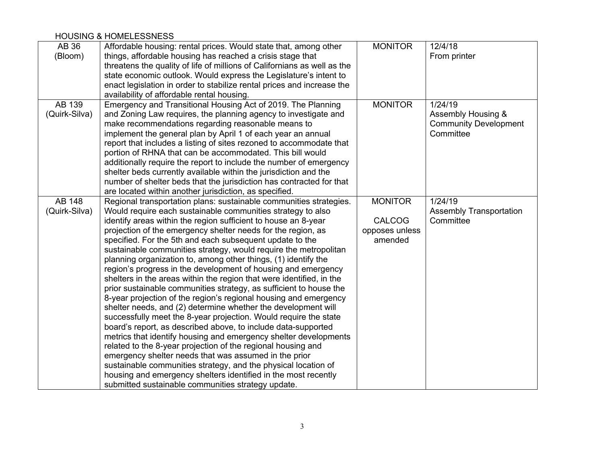#### HOUSING & HOMELESSNESS

| AB 36         | Affordable housing: rental prices. Would state that, among other         | <b>MONITOR</b> | 12/4/18                        |
|---------------|--------------------------------------------------------------------------|----------------|--------------------------------|
| (Bloom)       | things, affordable housing has reached a crisis stage that               |                | From printer                   |
|               | threatens the quality of life of millions of Californians as well as the |                |                                |
|               | state economic outlook. Would express the Legislature's intent to        |                |                                |
|               | enact legislation in order to stabilize rental prices and increase the   |                |                                |
|               | availability of affordable rental housing.                               |                |                                |
| AB 139        | Emergency and Transitional Housing Act of 2019. The Planning             | <b>MONITOR</b> | 1/24/19                        |
| (Quirk-Silva) | and Zoning Law requires, the planning agency to investigate and          |                | Assembly Housing &             |
|               | make recommendations regarding reasonable means to                       |                | <b>Community Development</b>   |
|               | implement the general plan by April 1 of each year an annual             |                | Committee                      |
|               | report that includes a listing of sites rezoned to accommodate that      |                |                                |
|               | portion of RHNA that can be accommodated. This bill would                |                |                                |
|               | additionally require the report to include the number of emergency       |                |                                |
|               | shelter beds currently available within the jurisdiction and the         |                |                                |
|               | number of shelter beds that the jurisdiction has contracted for that     |                |                                |
|               | are located within another jurisdiction, as specified.                   |                |                                |
| AB 148        | Regional transportation plans: sustainable communities strategies.       | <b>MONITOR</b> | 1/24/19                        |
| (Quirk-Silva) | Would require each sustainable communities strategy to also              |                | <b>Assembly Transportation</b> |
|               | identify areas within the region sufficient to house an 8-year           | <b>CALCOG</b>  | Committee                      |
|               | projection of the emergency shelter needs for the region, as             | opposes unless |                                |
|               | specified. For the 5th and each subsequent update to the                 | amended        |                                |
|               | sustainable communities strategy, would require the metropolitan         |                |                                |
|               | planning organization to, among other things, (1) identify the           |                |                                |
|               | region's progress in the development of housing and emergency            |                |                                |
|               | shelters in the areas within the region that were identified, in the     |                |                                |
|               | prior sustainable communities strategy, as sufficient to house the       |                |                                |
|               | 8-year projection of the region's regional housing and emergency         |                |                                |
|               | shelter needs, and (2) determine whether the development will            |                |                                |
|               | successfully meet the 8-year projection. Would require the state         |                |                                |
|               | board's report, as described above, to include data-supported            |                |                                |
|               | metrics that identify housing and emergency shelter developments         |                |                                |
|               | related to the 8-year projection of the regional housing and             |                |                                |
|               | emergency shelter needs that was assumed in the prior                    |                |                                |
|               | sustainable communities strategy, and the physical location of           |                |                                |
|               | housing and emergency shelters identified in the most recently           |                |                                |
|               | submitted sustainable communities strategy update.                       |                |                                |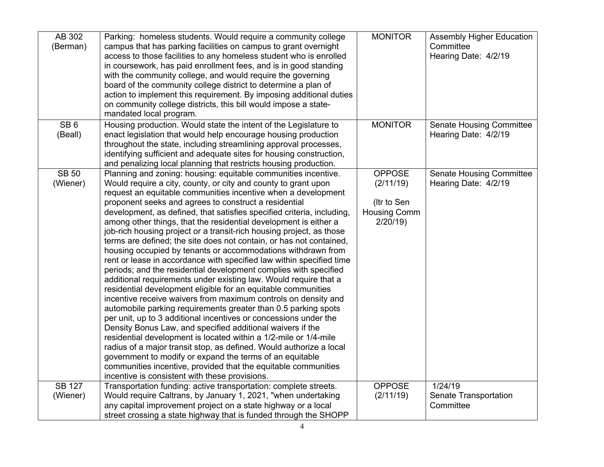| AB 302<br>(Berman)         | Parking: homeless students. Would require a community college<br>campus that has parking facilities on campus to grant overnight<br>access to those facilities to any homeless student who is enrolled<br>in coursework, has paid enrollment fees, and is in good standing<br>with the community college, and would require the governing<br>board of the community college district to determine a plan of<br>action to implement this requirement. By imposing additional duties<br>on community college districts, this bill would impose a state-<br>mandated local program.                                                                                                                                                                                                                                                                                                                                                                                                                                                                                                                                                                                                                                                                                                                                                                                                                                                                                                                          | <b>MONITOR</b>                                                              | <b>Assembly Higher Education</b><br>Committee<br>Hearing Date: 4/2/19 |
|----------------------------|-----------------------------------------------------------------------------------------------------------------------------------------------------------------------------------------------------------------------------------------------------------------------------------------------------------------------------------------------------------------------------------------------------------------------------------------------------------------------------------------------------------------------------------------------------------------------------------------------------------------------------------------------------------------------------------------------------------------------------------------------------------------------------------------------------------------------------------------------------------------------------------------------------------------------------------------------------------------------------------------------------------------------------------------------------------------------------------------------------------------------------------------------------------------------------------------------------------------------------------------------------------------------------------------------------------------------------------------------------------------------------------------------------------------------------------------------------------------------------------------------------------|-----------------------------------------------------------------------------|-----------------------------------------------------------------------|
| SB <sub>6</sub><br>(Beall) | Housing production. Would state the intent of the Legislature to<br>enact legislation that would help encourage housing production<br>throughout the state, including streamlining approval processes,<br>identifying sufficient and adequate sites for housing construction,<br>and penalizing local planning that restricts housing production.                                                                                                                                                                                                                                                                                                                                                                                                                                                                                                                                                                                                                                                                                                                                                                                                                                                                                                                                                                                                                                                                                                                                                         | <b>MONITOR</b>                                                              | <b>Senate Housing Committee</b><br>Hearing Date: 4/2/19               |
| <b>SB 50</b><br>(Wiener)   | Planning and zoning: housing: equitable communities incentive.<br>Would require a city, county, or city and county to grant upon<br>request an equitable communities incentive when a development<br>proponent seeks and agrees to construct a residential<br>development, as defined, that satisfies specified criteria, including,<br>among other things, that the residential development is either a<br>job-rich housing project or a transit-rich housing project, as those<br>terms are defined; the site does not contain, or has not contained,<br>housing occupied by tenants or accommodations withdrawn from<br>rent or lease in accordance with specified law within specified time<br>periods; and the residential development complies with specified<br>additional requirements under existing law. Would require that a<br>residential development eligible for an equitable communities<br>incentive receive waivers from maximum controls on density and<br>automobile parking requirements greater than 0.5 parking spots<br>per unit, up to 3 additional incentives or concessions under the<br>Density Bonus Law, and specified additional waivers if the<br>residential development is located within a 1/2-mile or 1/4-mile<br>radius of a major transit stop, as defined. Would authorize a local<br>government to modify or expand the terms of an equitable<br>communities incentive, provided that the equitable communities<br>incentive is consistent with these provisions. | <b>OPPOSE</b><br>(2/11/19)<br>(Itr to Sen<br><b>Housing Comm</b><br>2/20/19 | <b>Senate Housing Committee</b><br>Hearing Date: 4/2/19               |
| <b>SB 127</b><br>(Wiener)  | Transportation funding: active transportation: complete streets.<br>Would require Caltrans, by January 1, 2021, "when undertaking<br>any capital improvement project on a state highway or a local                                                                                                                                                                                                                                                                                                                                                                                                                                                                                                                                                                                                                                                                                                                                                                                                                                                                                                                                                                                                                                                                                                                                                                                                                                                                                                        | <b>OPPOSE</b><br>(2/11/19)                                                  | 1/24/19<br>Senate Transportation<br>Committee                         |
|                            | street crossing a state highway that is funded through the SHOPP                                                                                                                                                                                                                                                                                                                                                                                                                                                                                                                                                                                                                                                                                                                                                                                                                                                                                                                                                                                                                                                                                                                                                                                                                                                                                                                                                                                                                                          |                                                                             |                                                                       |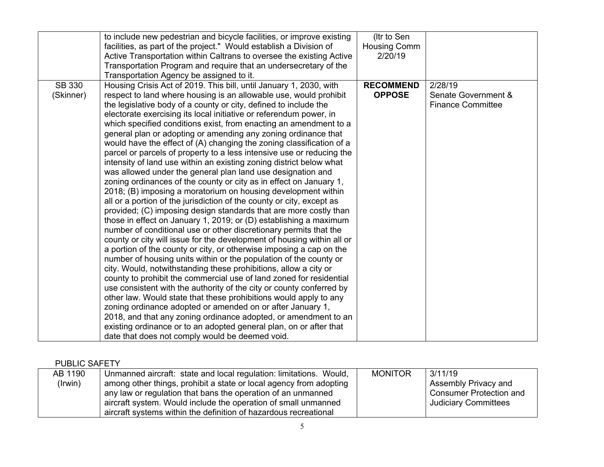|                            | to include new pedestrian and bicycle facilities, or improve existing<br>facilities, as part of the project." Would establish a Division of<br>Active Transportation within Caltrans to oversee the existing Active<br>Transportation Program and require that an undersecretary of the<br>Transportation Agency be assigned to it.                                                                                                                                                                                                                                                                                                                                                                                                                                                                                                                                                                                                                                                                                                                                                                                                                                                                                                                                                                                                                                                                                                                                                                                                                                                                                                                                                                                                                                                                                                                                                                                    | (Itr to Sen<br>Housing Comm<br>2/20/19 |                                                            |
|----------------------------|------------------------------------------------------------------------------------------------------------------------------------------------------------------------------------------------------------------------------------------------------------------------------------------------------------------------------------------------------------------------------------------------------------------------------------------------------------------------------------------------------------------------------------------------------------------------------------------------------------------------------------------------------------------------------------------------------------------------------------------------------------------------------------------------------------------------------------------------------------------------------------------------------------------------------------------------------------------------------------------------------------------------------------------------------------------------------------------------------------------------------------------------------------------------------------------------------------------------------------------------------------------------------------------------------------------------------------------------------------------------------------------------------------------------------------------------------------------------------------------------------------------------------------------------------------------------------------------------------------------------------------------------------------------------------------------------------------------------------------------------------------------------------------------------------------------------------------------------------------------------------------------------------------------------|----------------------------------------|------------------------------------------------------------|
| <b>SB 330</b><br>(Skinner) | Housing Crisis Act of 2019. This bill, until January 1, 2030, with<br>respect to land where housing is an allowable use, would prohibit<br>the legislative body of a county or city, defined to include the<br>electorate exercising its local initiative or referendum power, in<br>which specified conditions exist, from enacting an amendment to a<br>general plan or adopting or amending any zoning ordinance that<br>would have the effect of (A) changing the zoning classification of a<br>parcel or parcels of property to a less intensive use or reducing the<br>intensity of land use within an existing zoning district below what<br>was allowed under the general plan land use designation and<br>zoning ordinances of the county or city as in effect on January 1,<br>2018; (B) imposing a moratorium on housing development within<br>all or a portion of the jurisdiction of the county or city, except as<br>provided; (C) imposing design standards that are more costly than<br>those in effect on January 1, 2019; or (D) establishing a maximum<br>number of conditional use or other discretionary permits that the<br>county or city will issue for the development of housing within all or<br>a portion of the county or city, or otherwise imposing a cap on the<br>number of housing units within or the population of the county or<br>city. Would, notwithstanding these prohibitions, allow a city or<br>county to prohibit the commercial use of land zoned for residential<br>use consistent with the authority of the city or county conferred by<br>other law. Would state that these prohibitions would apply to any<br>zoning ordinance adopted or amended on or after January 1,<br>2018, and that any zoning ordinance adopted, or amendment to an<br>existing ordinance or to an adopted general plan, on or after that<br>date that does not comply would be deemed void. | <b>RECOMMEND</b><br><b>OPPOSE</b>      | 2/28/19<br>Senate Government &<br><b>Finance Committee</b> |

## PUBLIC SAFETY

| AB 1190 | Unmanned aircraft: state and local regulation: limitations. Would, | <b>MONITOR</b> | 3/11/19                        |
|---------|--------------------------------------------------------------------|----------------|--------------------------------|
| (Irwin) | among other things, prohibit a state or local agency from adopting |                | Assembly Privacy and           |
|         | any law or regulation that bans the operation of an unmanned       |                | <b>Consumer Protection and</b> |
|         | aircraft system. Would include the operation of small unmanned     |                | Judiciary Committees           |
|         | aircraft systems within the definition of hazardous recreational   |                |                                |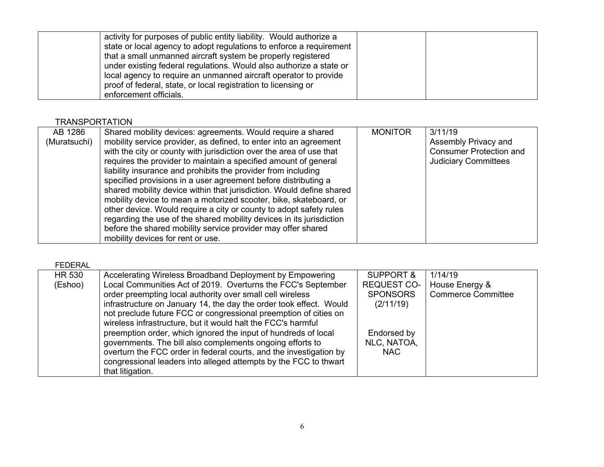| activity for purposes of public entity liability. Would authorize a<br>state or local agency to adopt regulations to enforce a requirement                                                                                                                                                          |  |
|-----------------------------------------------------------------------------------------------------------------------------------------------------------------------------------------------------------------------------------------------------------------------------------------------------|--|
| that a small unmanned aircraft system be properly registered<br>under existing federal regulations. Would also authorize a state or<br>local agency to require an unmanned aircraft operator to provide<br>proof of federal, state, or local registration to licensing or<br>enforcement officials. |  |

## **TRANSPORTATION**

| AB 1286      | Shared mobility devices: agreements. Would require a shared          | <b>MONITOR</b> | 3/11/19                        |
|--------------|----------------------------------------------------------------------|----------------|--------------------------------|
| (Muratsuchi) | mobility service provider, as defined, to enter into an agreement    |                | Assembly Privacy and           |
|              | with the city or county with jurisdiction over the area of use that  |                | <b>Consumer Protection and</b> |
|              | requires the provider to maintain a specified amount of general      |                | <b>Judiciary Committees</b>    |
|              | liability insurance and prohibits the provider from including        |                |                                |
|              | specified provisions in a user agreement before distributing a       |                |                                |
|              | shared mobility device within that jurisdiction. Would define shared |                |                                |
|              | mobility device to mean a motorized scooter, bike, skateboard, or    |                |                                |
|              | other device. Would require a city or county to adopt safety rules   |                |                                |
|              | regarding the use of the shared mobility devices in its jurisdiction |                |                                |
|              | before the shared mobility service provider may offer shared         |                |                                |
|              | mobility devices for rent or use.                                    |                |                                |

#### FEDERAL

L

| <b>HR 530</b> | Accelerating Wireless Broadband Deployment by Empowering           | <b>SUPPORT &amp;</b> | 1/14/19                   |
|---------------|--------------------------------------------------------------------|----------------------|---------------------------|
| (Eshoo)       | Local Communities Act of 2019. Overturns the FCC's September       | <b>REQUEST CO-</b>   | House Energy &            |
|               | order preempting local authority over small cell wireless          | <b>SPONSORS</b>      | <b>Commerce Committee</b> |
|               | infrastructure on January 14, the day the order took effect. Would | (2/11/19)            |                           |
|               | not preclude future FCC or congressional preemption of cities on   |                      |                           |
|               | wireless infrastructure, but it would halt the FCC's harmful       |                      |                           |
|               | preemption order, which ignored the input of hundreds of local     | Endorsed by          |                           |
|               | governments. The bill also complements ongoing efforts to          | NLC, NATOA,          |                           |
|               | overturn the FCC order in federal courts, and the investigation by | <b>NAC</b>           |                           |
|               | congressional leaders into alleged attempts by the FCC to thwart   |                      |                           |
|               |                                                                    |                      |                           |
|               | that litigation.                                                   |                      |                           |